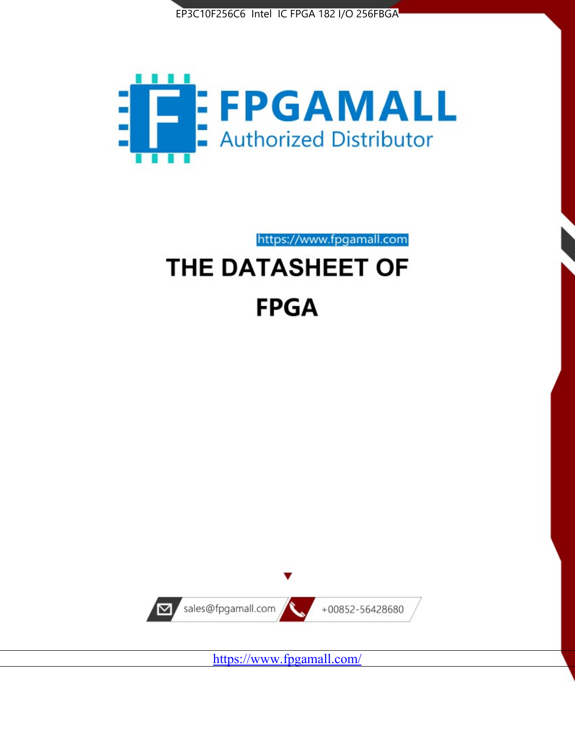



https://www.fpgamall.com

# THE DATASHEET OF **FPGA**



<https://www.fpgamall.com/>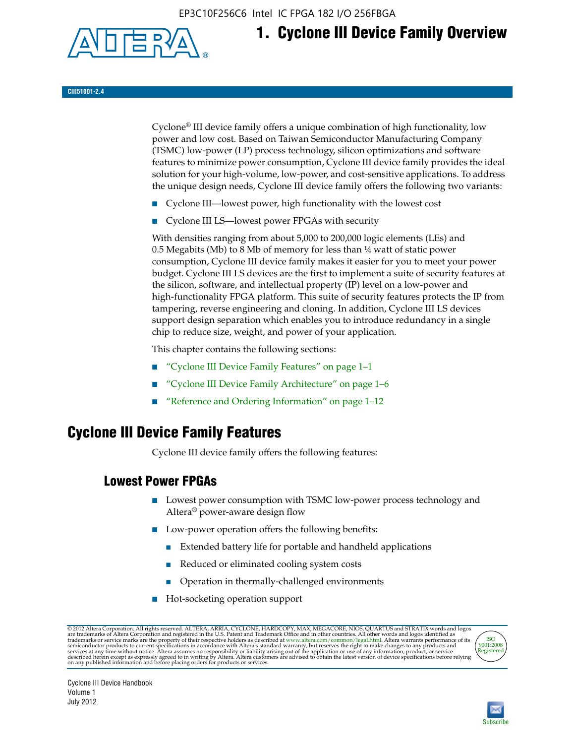EP3C10F256C6 Intel IC FPGA 182 I/O 256FBGA



## **1. Cyclone III Device Family Overview**

#### **CIII51001-2.4**

Cyclone® III device family offers a unique combination of high functionality, low power and low cost. Based on Taiwan Semiconductor Manufacturing Company (TSMC) low-power (LP) process technology, silicon optimizations and software features to minimize power consumption, Cyclone III device family provides the ideal solution for your high-volume, low-power, and cost-sensitive applications. To address the unique design needs, Cyclone III device family offers the following two variants:

- Cyclone III—lowest power, high functionality with the lowest cost
- Cyclone III LS—lowest power FPGAs with security

With densities ranging from about 5,000 to 200,000 logic elements (LEs) and 0.5 Megabits (Mb) to 8 Mb of memory for less than ¼ watt of static power consumption, Cyclone III device family makes it easier for you to meet your power budget. Cyclone III LS devices are the first to implement a suite of security features at the silicon, software, and intellectual property (IP) level on a low-power and high-functionality FPGA platform. This suite of security features protects the IP from tampering, reverse engineering and cloning. In addition, Cyclone III LS devices support design separation which enables you to introduce redundancy in a single chip to reduce size, weight, and power of your application.

This chapter contains the following sections:

- "Cyclone III Device Family Features" on page 1–1
- "Cyclone III Device Family Architecture" on page 1–6
- "Reference and Ordering Information" on page 1–12

## **Cyclone III Device Family Features**

Cyclone III device family offers the following features:

#### **Lowest Power FPGAs**

- Lowest power consumption with TSMC low-power process technology and Altera® power-aware design flow
- Low-power operation offers the following benefits:
	- Extended battery life for portable and handheld applications
	- Reduced or eliminated cooling system costs
	- Operation in thermally-challenged environments
- Hot-socketing operation support

@ 2012 Altera Corporation. All rights reserved. ALTERA, ARRIA, CYCLONE, HARDCOPY, MAX, MEGACORE, NIOS, QUARTUS and STRATIX words and logos are trademarks of Altera Corporation and registered in the U.S. Patent and Trademar



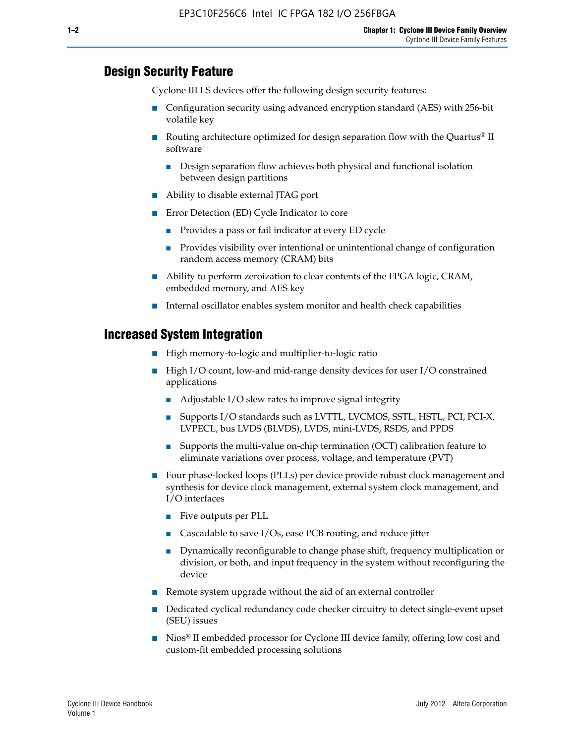#### **Design Security Feature**

Cyclone III LS devices offer the following design security features:

- Configuration security using advanced encryption standard (AES) with 256-bit volatile key
- Routing architecture optimized for design separation flow with the Quartus<sup>®</sup> II software
	- Design separation flow achieves both physical and functional isolation between design partitions
- Ability to disable external JTAG port
- Error Detection (ED) Cycle Indicator to core
	- Provides a pass or fail indicator at every ED cycle
	- Provides visibility over intentional or unintentional change of configuration random access memory (CRAM) bits
- Ability to perform zeroization to clear contents of the FPGA logic, CRAM, embedded memory, and AES key
- Internal oscillator enables system monitor and health check capabilities

#### **Increased System Integration**

- High memory-to-logic and multiplier-to-logic ratio
- High I/O count, low-and mid-range density devices for user I/O constrained applications
	- Adjustable I/O slew rates to improve signal integrity
	- Supports I/O standards such as LVTTL, LVCMOS, SSTL, HSTL, PCI, PCI-X, LVPECL, bus LVDS (BLVDS), LVDS, mini-LVDS, RSDS, and PPDS
	- Supports the multi-value on-chip termination (OCT) calibration feature to eliminate variations over process, voltage, and temperature (PVT)
- Four phase-locked loops (PLLs) per device provide robust clock management and synthesis for device clock management, external system clock management, and I/O interfaces
	- Five outputs per PLL
	- Cascadable to save I/Os, ease PCB routing, and reduce jitter
	- Dynamically reconfigurable to change phase shift, frequency multiplication or division, or both, and input frequency in the system without reconfiguring the device
- Remote system upgrade without the aid of an external controller
- Dedicated cyclical redundancy code checker circuitry to detect single-event upset (SEU) issues
- Nios<sup>®</sup> II embedded processor for Cyclone III device family, offering low cost and custom-fit embedded processing solutions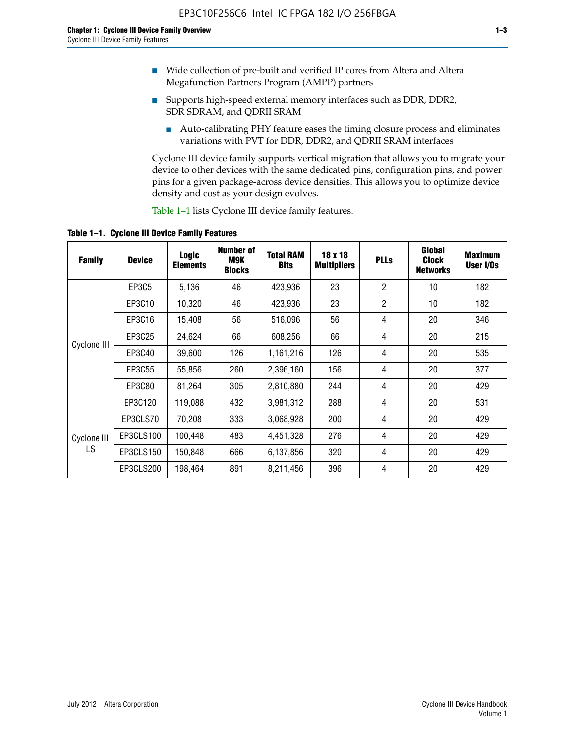- Wide collection of pre-built and verified IP cores from Altera and Altera Megafunction Partners Program (AMPP) partners
- Supports high-speed external memory interfaces such as DDR, DDR2, SDR SDRAM, and QDRII SRAM
	- Auto-calibrating PHY feature eases the timing closure process and eliminates variations with PVT for DDR, DDR2, and QDRII SRAM interfaces

Cyclone III device family supports vertical migration that allows you to migrate your device to other devices with the same dedicated pins, configuration pins, and power pins for a given package-across device densities. This allows you to optimize device density and cost as your design evolves.

Table 1–1 lists Cyclone III device family features.

**Table 1–1. Cyclone III Device Family Features**

| <b>Family</b> | <b>Device</b> | <b>Logic</b><br><b>Elements</b> | Number of<br>M9K<br><b>Blocks</b> | <b>Total RAM</b><br><b>Bits</b> | 18 x 18<br><b>Multipliers</b> | <b>PLLs</b>    | Global<br><b>Clock</b><br><b>Networks</b> | <b>Maximum</b><br>User I/Os |
|---------------|---------------|---------------------------------|-----------------------------------|---------------------------------|-------------------------------|----------------|-------------------------------------------|-----------------------------|
|               | <b>EP3C5</b>  | 5,136                           | 46                                | 423,936                         | 23                            | $\overline{2}$ | 10                                        | 182                         |
|               | EP3C10        | 10,320                          | 46                                | 423,936                         | 23                            | $\overline{2}$ | 10                                        | 182                         |
|               | EP3C16        | 15,408                          | 56                                | 516,096                         | 56                            | 4              | 20                                        | 346                         |
| Cyclone III   | EP3C25        | 24,624                          | 66                                | 608,256                         | 66                            | 4              | 20                                        | 215                         |
|               | EP3C40        | 39,600                          | 126                               | 1,161,216                       | 126                           | 4              | 20                                        | 535                         |
|               | EP3C55        | 55,856                          | 260                               | 2,396,160                       | 156                           | 4              | 20                                        | 377                         |
|               | EP3C80        | 81,264                          | 305                               | 2,810,880                       | 244                           | 4              | 20                                        | 429                         |
|               | EP3C120       | 119,088                         | 432                               | 3,981,312                       | 288                           | 4              | 20                                        | 531                         |
|               | EP3CLS70      | 70,208                          | 333                               | 3,068,928                       | 200                           | 4              | 20                                        | 429                         |
| Cyclone III   | EP3CLS100     | 100,448                         | 483                               | 4,451,328                       | 276                           | 4              | 20                                        | 429                         |
| LS            | EP3CLS150     | 150,848                         | 666                               | 6,137,856                       | 320                           | 4              | 20                                        | 429                         |
|               | EP3CLS200     | 198,464                         | 891                               | 8,211,456                       | 396                           | 4              | 20                                        | 429                         |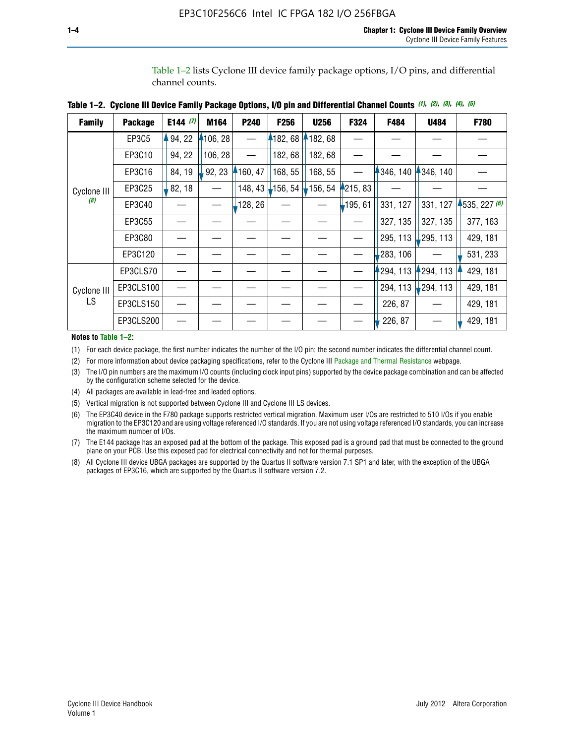Table 1–2 lists Cyclone III device family package options, I/O pins, and differential channel counts.

| <b>Family</b> | <b>Package</b> | E144 $(7)$ | M164    | P <sub>240</sub> | F256                  | <b>U256</b> | F324       | F484      | <b>U484</b> | F780         |
|---------------|----------------|------------|---------|------------------|-----------------------|-------------|------------|-----------|-------------|--------------|
|               | EP3C5          | 94, 22     | 106, 28 |                  | 182, 68               | 182, 68     |            |           |             |              |
|               | EP3C10         | 94, 22     | 106, 28 |                  | 182, 68               | 182,68      |            |           |             |              |
|               | EP3C16         | 84, 19     | 92, 23  | $-160, 47$       | 168, 55               | 168, 55     |            | 1346, 140 | 4346, 140   |              |
| Cyclone III   | EP3C25         | 82, 18     |         | 148, 43          | $\frac{1}{2}$ 156, 54 | 156, 54     | 4215, 83   |           |             |              |
| (8)           | EP3C40         |            |         | ,128, 26         |                       |             | $-195, 61$ | 331, 127  | 331, 127    | 1535, 227(6) |
|               | EP3C55         |            |         |                  |                       |             |            | 327, 135  | 327, 135    | 377, 163     |
|               | EP3C80         |            |         |                  |                       |             |            | 295, 113  | 295, 113    | 429, 181     |
|               | EP3C120        |            |         |                  |                       |             |            | 283, 106  |             | 531, 233     |
|               | EP3CLS70       |            |         |                  |                       |             |            | 294, 113  | 294, 113    | 429, 181     |
| Cyclone III   | EP3CLS100      |            |         |                  |                       |             |            | 294, 113  | $-294, 113$ | 429, 181     |
| LS.           | EP3CLS150      |            |         |                  |                       |             |            | 226, 87   |             | 429, 181     |
|               | EP3CLS200      |            |         |                  |                       |             |            | 226, 87   |             | 429, 181     |

**Table 1–2. Cyclone III Device Family Package Options, I/O pin and Differential Channel Counts** *(1)***,** *(2)***,** *(3)***,** *(4)***,** *(5)*

**Notes to Table 1–2:**

(1) For each device package, the first number indicates the number of the I/O pin; the second number indicates the differential channel count.

(2) For more information about device packaging specifications, refer to the Cyclone III [Package and Thermal Resistance](http://www.altera.com/support/devices/packaging/specifications/pkg-pin/dev-package-listing.jsp?device=Cyclone_III) webpage.

(3) The I/O pin numbers are the maximum I/O counts (including clock input pins) supported by the device package combination and can be affected by the configuration scheme selected for the device.

(4) All packages are available in lead-free and leaded options.

(5) Vertical migration is not supported between Cyclone III and Cyclone III LS devices.

(6) The EP3C40 device in the F780 package supports restricted vertical migration. Maximum user I/Os are restricted to 510 I/Os if you enable migration to the EP3C120 and are using voltage referenced I/O standards. If you are not using voltage referenced I/O standards, you can increase the maximum number of I/Os.

(7) The E144 package has an exposed pad at the bottom of the package. This exposed pad is a ground pad that must be connected to the ground plane on your PCB. Use this exposed pad for electrical connectivity and not for thermal purposes.

(8) All Cyclone III device UBGA packages are supported by the Quartus II software version 7.1 SP1 and later, with the exception of the UBGA packages of EP3C16, which are supported by the Quartus II software version 7.2.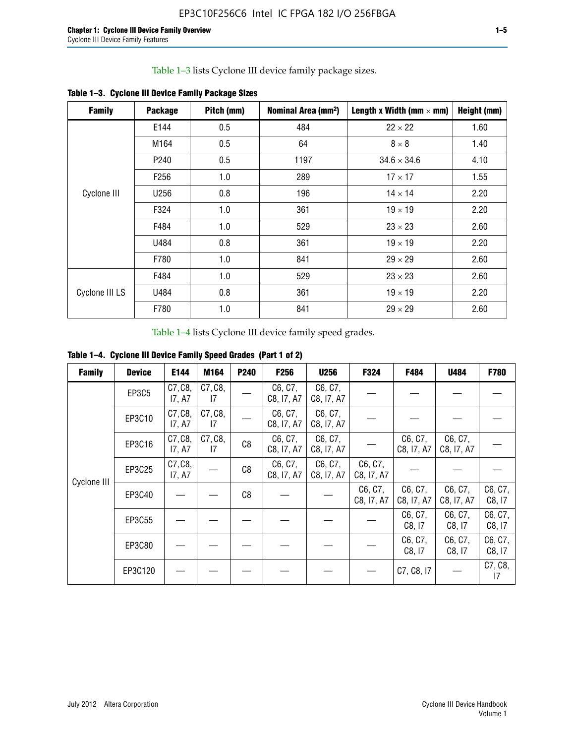Table 1–3 lists Cyclone III device family package sizes.

| <b>Family</b>  | <b>Package</b>   | Pitch (mm) | Nominal Area (mm <sup>2</sup> ) | Length x Width (mm $\times$ mm) | Height (mm) |
|----------------|------------------|------------|---------------------------------|---------------------------------|-------------|
|                | E144             | 0.5        | 484                             | $22 \times 22$                  | 1.60        |
|                | M164             | 0.5        | 64                              | $8 \times 8$                    | 1.40        |
|                | P <sub>240</sub> | 0.5        | 1197                            | $34.6 \times 34.6$              | 4.10        |
|                | F <sub>256</sub> | 1.0        | 289                             | $17 \times 17$                  | 1.55        |
| Cyclone III    | U256             | 0.8        | 196                             | $14 \times 14$                  | 2.20        |
|                | F324             | 1.0        | 361                             | $19 \times 19$                  | 2.20        |
|                | F484             | 1.0        | 529                             | $23 \times 23$                  | 2.60        |
|                | U484             | 0.8        | 361                             | $19 \times 19$                  | 2.20        |
|                | F780             | 1.0        | 841                             | $29 \times 29$                  | 2.60        |
|                | F484             | 1.0        | 529                             | $23 \times 23$                  | 2.60        |
| Cyclone III LS | U484             | 0.8        | 361                             | $19 \times 19$                  | 2.20        |
|                | F780             | 1.0        | 841                             | $29 \times 29$                  | 2.60        |

**Table 1–3. Cyclone III Device Family Package Sizes**

Table 1–4 lists Cyclone III device family speed grades.

**Table 1–4. Cyclone III Device Family Speed Grades (Part 1 of 2)**

| <b>Family</b> | <b>Device</b> | E144              | M164          | <b>P240</b>    | <b>F256</b>           | <b>U256</b>           | F324                  | F484                  | U484                  | <b>F780</b>       |
|---------------|---------------|-------------------|---------------|----------------|-----------------------|-----------------------|-----------------------|-----------------------|-----------------------|-------------------|
|               | EP3C5         | C7, C8,<br>17, A7 | C7, C8,<br>17 |                | C6, C7,<br>C8, I7, A7 | C6, C7,<br>C8, I7, A7 |                       |                       |                       |                   |
|               | EP3C10        | C7, C8,<br>17, A7 | C7, C8,<br>17 |                | C6, C7,<br>C8, I7, A7 | C6, C7,<br>C8, I7, A7 |                       |                       |                       |                   |
|               | EP3C16        | C7, C8,<br>17, A7 | C7, C8,<br>17 | C <sub>8</sub> | C6, C7,<br>C8, I7, A7 | C6, C7,<br>C8, I7, A7 |                       | C6, C7,<br>C8, I7, A7 | C6, C7,<br>C8, I7, A7 |                   |
| Cyclone III   | EP3C25        | C7, C8,<br>17, A7 |               | C8             | C6, C7,<br>C8, I7, A7 | C6, C7,<br>C8, I7, A7 | C6, C7,<br>C8, I7, A7 |                       |                       |                   |
|               | EP3C40        |                   |               | C8             |                       |                       | C6, C7,<br>C8, I7, A7 | C6, C7,<br>C8, I7, A7 | C6, C7,<br>C8, I7, A7 | C6, C7,<br>C8, 17 |
|               | EP3C55        |                   |               |                |                       |                       |                       | C6, C7,<br>C8, I7     | C6, C7,<br>C8, 17     | C6, C7,<br>C8, 17 |
|               | EP3C80        |                   |               |                |                       |                       |                       | C6, C7,<br>C8, 17     | C6, C7,<br>C8, 17     | C6, C7,<br>C8, 17 |
|               | EP3C120       |                   |               |                |                       |                       |                       | C7, C8, I7            |                       | C7, C8,<br>17     |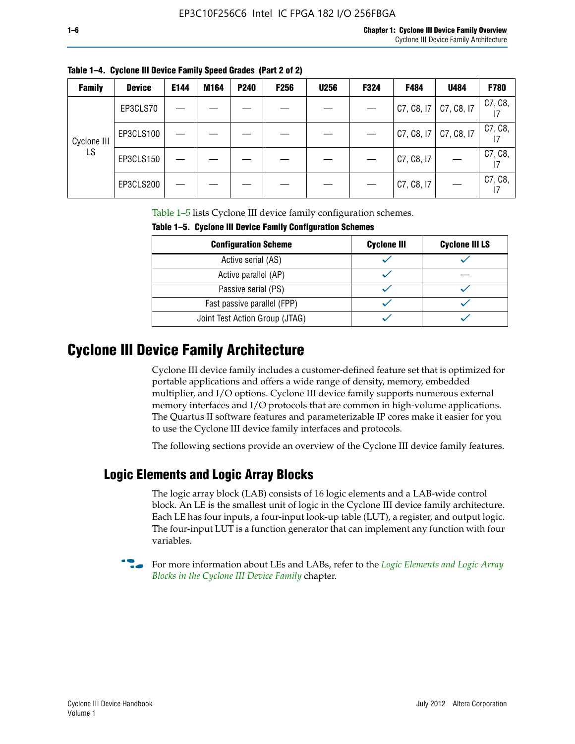| <b>Family</b> | <b>Device</b> | E144 | M164 | <b>P240</b> | <b>F256</b> | <b>U256</b> | <b>F324</b> | F484       | U484       | <b>F780</b> |
|---------------|---------------|------|------|-------------|-------------|-------------|-------------|------------|------------|-------------|
|               | EP3CLS70      |      |      |             |             |             |             | C7, C8, I7 | C7, C8, I7 | C7, C8,     |
| Cyclone III   | EP3CLS100     |      |      |             |             |             |             | C7, C8, I7 | C7, C8, I7 | C7, C8,     |
| LS            | EP3CLS150     |      |      |             |             |             |             | C7, C8, I7 |            | C7, C8,     |
|               | EP3CLS200     |      |      |             |             |             |             | C7, C8, I7 |            | C7, C8,     |

**Table 1–4. Cyclone III Device Family Speed Grades (Part 2 of 2)**

Table 1–5 lists Cyclone III device family configuration schemes.

| <b>IQUIE 1-3. CYCLUILE III DEVICE FAILIIV CUILILUILATION SCIIENIES</b> |                    |                       |  |  |  |
|------------------------------------------------------------------------|--------------------|-----------------------|--|--|--|
| <b>Configuration Scheme</b>                                            | <b>Cyclone III</b> | <b>Cyclone III LS</b> |  |  |  |
| Active serial (AS)                                                     |                    |                       |  |  |  |
| Active parallel (AP)                                                   |                    |                       |  |  |  |
| Passive serial (PS)                                                    |                    |                       |  |  |  |
| Fast passive parallel (FPP)                                            |                    |                       |  |  |  |
| Joint Test Action Group (JTAG)                                         |                    |                       |  |  |  |

**Table 1–5. Cyclone III Device Family Configuration Schemes**

## **Cyclone III Device Family Architecture**

Cyclone III device family includes a customer-defined feature set that is optimized for portable applications and offers a wide range of density, memory, embedded multiplier, and I/O options. Cyclone III device family supports numerous external memory interfaces and I/O protocols that are common in high-volume applications. The Quartus II software features and parameterizable IP cores make it easier for you to use the Cyclone III device family interfaces and protocols.

The following sections provide an overview of the Cyclone III device family features.

### **Logic Elements and Logic Array Blocks**

The logic array block (LAB) consists of 16 logic elements and a LAB-wide control block. An LE is the smallest unit of logic in the Cyclone III device family architecture. Each LE has four inputs, a four-input look-up table (LUT), a register, and output logic. The four-input LUT is a function generator that can implement any function with four variables.

f For more information about LEs and LABs, refer to the *[Logic Elements and Logic Array](http://www.altera.com/literature/hb/cyc3/cyc3_ciii51002.pdf)  [Blocks in the Cyclone III Device Family](http://www.altera.com/literature/hb/cyc3/cyc3_ciii51002.pdf)* chapter.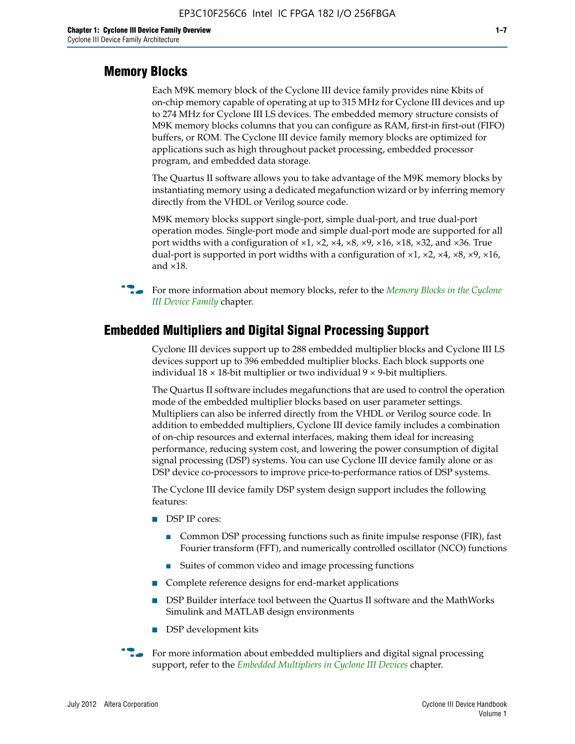#### **Memory Blocks**

Each M9K memory block of the Cyclone III device family provides nine Kbits of on-chip memory capable of operating at up to 315 MHz for Cyclone III devices and up to 274 MHz for Cyclone III LS devices. The embedded memory structure consists of M9K memory blocks columns that you can configure as RAM, first-in first-out (FIFO) buffers, or ROM. The Cyclone III device family memory blocks are optimized for applications such as high throughout packet processing, embedded processor program, and embedded data storage.

The Quartus II software allows you to take advantage of the M9K memory blocks by instantiating memory using a dedicated megafunction wizard or by inferring memory directly from the VHDL or Verilog source code.

M9K memory blocks support single-port, simple dual-port, and true dual-port operation modes. Single-port mode and simple dual-port mode are supported for all port widths with a configuration of  $\times1$ ,  $\times2$ ,  $\times4$ ,  $\times8$ ,  $\times9$ ,  $\times16$ ,  $\times18$ ,  $\times32$ , and  $\times36$ . True dual-port is supported in port widths with a configuration of  $\times$ 1,  $\times$ 2,  $\times$ 4,  $\times$ 8,  $\times$ 9,  $\times$ 16, and ×18.



**For more information about memory blocks, refer to the** *Memory Blocks in the Cyclone [III Device Family](http://www.altera.com/literature/hb/cyc3/cyc3_ciii51004.pdf)* chapter.

#### **Embedded Multipliers and Digital Signal Processing Support**

Cyclone III devices support up to 288 embedded multiplier blocks and Cyclone III LS devices support up to 396 embedded multiplier blocks. Each block supports one individual  $18 \times 18$ -bit multiplier or two individual  $9 \times 9$ -bit multipliers.

The Quartus II software includes megafunctions that are used to control the operation mode of the embedded multiplier blocks based on user parameter settings. Multipliers can also be inferred directly from the VHDL or Verilog source code. In addition to embedded multipliers, Cyclone III device family includes a combination of on-chip resources and external interfaces, making them ideal for increasing performance, reducing system cost, and lowering the power consumption of digital signal processing (DSP) systems. You can use Cyclone III device family alone or as DSP device co-processors to improve price-to-performance ratios of DSP systems.

The Cyclone III device family DSP system design support includes the following features:

- DSP IP cores:
	- Common DSP processing functions such as finite impulse response (FIR), fast Fourier transform (FFT), and numerically controlled oscillator (NCO) functions
	- Suites of common video and image processing functions
- Complete reference designs for end-market applications
- DSP Builder interface tool between the Quartus II software and the MathWorks Simulink and MATLAB design environments
- DSP development kits
- For more information about embedded multipliers and digital signal processing support, refer to the *[Embedded Multipliers in Cyclone III Devices](http://www.altera.com/literature/hb/cyc3/cyc3_ciii51005.pdf)* chapter.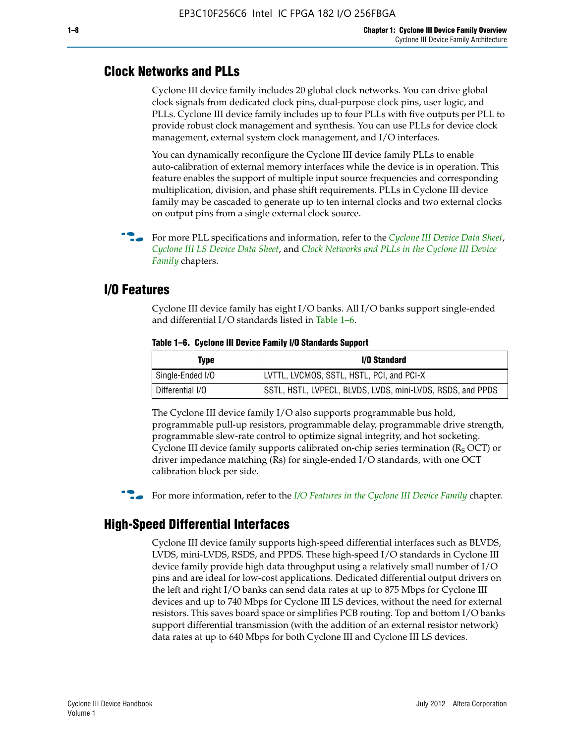#### **Clock Networks and PLLs**

Cyclone III device family includes 20 global clock networks. You can drive global clock signals from dedicated clock pins, dual-purpose clock pins, user logic, and PLLs. Cyclone III device family includes up to four PLLs with five outputs per PLL to provide robust clock management and synthesis. You can use PLLs for device clock management, external system clock management, and I/O interfaces.

You can dynamically reconfigure the Cyclone III device family PLLs to enable auto-calibration of external memory interfaces while the device is in operation. This feature enables the support of multiple input source frequencies and corresponding multiplication, division, and phase shift requirements. PLLs in Cyclone III device family may be cascaded to generate up to ten internal clocks and two external clocks on output pins from a single external clock source.

**For more PLL specifications and information, refer to the** *[Cyclone III Device Data Sheet](http://www.altera.com/literature/hb/cyc3/cyc3_ciii52001.pdf)***,** *[Cyclone III LS Device Data Sheet](http://www.altera.com/literature/hb/cyc3/cyc3_ciii52002.pdf)*, and *[Clock Networks and PLLs in the Cyclone III Device](http://www.altera.com/literature/hb/cyc3/cyc3_ciii51006.pdf)  [Family](http://www.altera.com/literature/hb/cyc3/cyc3_ciii51006.pdf)* chapters.

#### **I/O Features**

Cyclone III device family has eight I/O banks. All I/O banks support single-ended and differential I/O standards listed in Table 1–6.

| Type             | <b>I/O Standard</b>                                        |
|------------------|------------------------------------------------------------|
| Single-Ended I/O | LVTTL, LVCMOS, SSTL, HSTL, PCI, and PCI-X                  |
| Differential I/O | SSTL, HSTL, LVPECL, BLVDS, LVDS, mini-LVDS, RSDS, and PPDS |

**Table 1–6. Cyclone III Device Family I/O Standards Support** 

The Cyclone III device family I/O also supports programmable bus hold, programmable pull-up resistors, programmable delay, programmable drive strength, programmable slew-rate control to optimize signal integrity, and hot socketing. Cyclone III device family supports calibrated on-chip series termination ( $R_S$  OCT) or driver impedance matching (Rs) for single-ended I/O standards, with one OCT calibration block per side.

For more information, refer to the *[I/O Features in the Cyclone III Device Family](http://www.altera.com/literature/hb/cyc3/cyc3_ciii51007.pdf)* chapter.

### **High-Speed Differential Interfaces**

Cyclone III device family supports high-speed differential interfaces such as BLVDS, LVDS, mini-LVDS, RSDS, and PPDS. These high-speed I/O standards in Cyclone III device family provide high data throughput using a relatively small number of I/O pins and are ideal for low-cost applications. Dedicated differential output drivers on the left and right I/O banks can send data rates at up to 875 Mbps for Cyclone III devices and up to 740 Mbps for Cyclone III LS devices, without the need for external resistors. This saves board space or simplifies PCB routing. Top and bottom I/O banks support differential transmission (with the addition of an external resistor network) data rates at up to 640 Mbps for both Cyclone III and Cyclone III LS devices.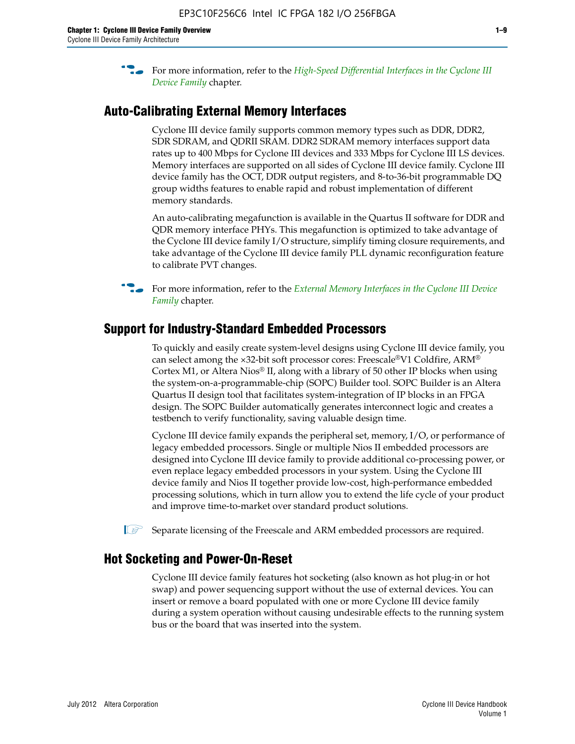**For more information, refer to the** *High-Speed Differential Interfaces in the Cyclone III* $\overline{a}$ *[Device Family](http://www.altera.com/literature/hb/cyc3/cyc3_ciii51008.pdf)* chapter.

#### **Auto-Calibrating External Memory Interfaces**

Cyclone III device family supports common memory types such as DDR, DDR2, SDR SDRAM, and QDRII SRAM. DDR2 SDRAM memory interfaces support data rates up to 400 Mbps for Cyclone III devices and 333 Mbps for Cyclone III LS devices. Memory interfaces are supported on all sides of Cyclone III device family. Cyclone III device family has the OCT, DDR output registers, and 8-to-36-bit programmable DQ group widths features to enable rapid and robust implementation of different memory standards.

An auto-calibrating megafunction is available in the Quartus II software for DDR and QDR memory interface PHYs. This megafunction is optimized to take advantage of the Cyclone III device family I/O structure, simplify timing closure requirements, and take advantage of the Cyclone III device family PLL dynamic reconfiguration feature to calibrate PVT changes.

**For more information, refer to the** *External Memory Interfaces in the Cyclone III Device [Family](http://www.altera.com/literature/hb/cyc3/cyc3_ciii51009.pdf)* chapter.

#### **Support for Industry-Standard Embedded Processors**

To quickly and easily create system-level designs using Cyclone III device family, you can select among the ×32-bit soft processor cores: Freescale®V1 Coldfire, ARM® Cortex M1, or Altera Nios® II, along with a library of 50 other IP blocks when using the system-on-a-programmable-chip (SOPC) Builder tool. SOPC Builder is an Altera Quartus II design tool that facilitates system-integration of IP blocks in an FPGA design. The SOPC Builder automatically generates interconnect logic and creates a testbench to verify functionality, saving valuable design time.

Cyclone III device family expands the peripheral set, memory, I/O, or performance of legacy embedded processors. Single or multiple Nios II embedded processors are designed into Cyclone III device family to provide additional co-processing power, or even replace legacy embedded processors in your system. Using the Cyclone III device family and Nios II together provide low-cost, high-performance embedded processing solutions, which in turn allow you to extend the life cycle of your product and improve time-to-market over standard product solutions.

 $\mathbb{I}$  Separate licensing of the Freescale and ARM embedded processors are required.

#### **Hot Socketing and Power-On-Reset**

Cyclone III device family features hot socketing (also known as hot plug-in or hot swap) and power sequencing support without the use of external devices. You can insert or remove a board populated with one or more Cyclone III device family during a system operation without causing undesirable effects to the running system bus or the board that was inserted into the system.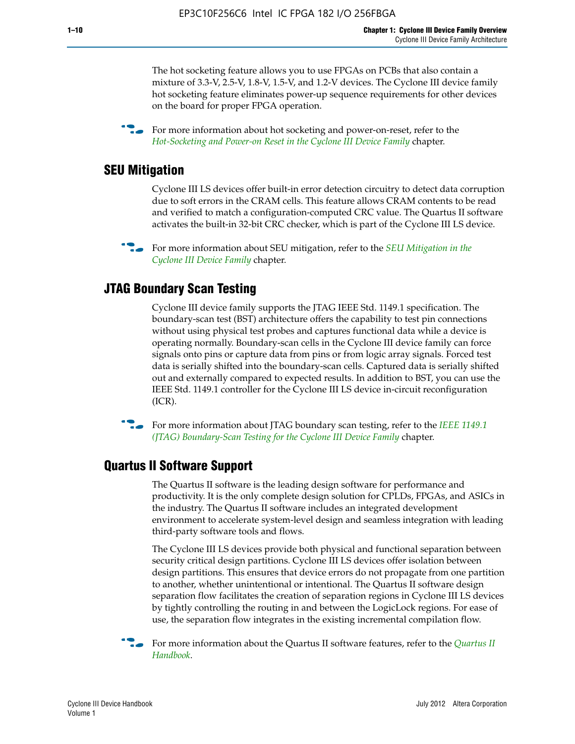The hot socketing feature allows you to use FPGAs on PCBs that also contain a mixture of 3.3-V, 2.5-V, 1.8-V, 1.5-V, and 1.2-V devices. The Cyclone III device family hot socketing feature eliminates power-up sequence requirements for other devices on the board for proper FPGA operation.

For more information about hot socketing and power-on-reset, refer to the *[Hot-Socketing and Power-on Reset in the Cyclone III Device Family](http://www.altera.com/literature/hb/cyc3/cyc3_ciii51011.pdf)* chapter.

#### **SEU Mitigation**

Cyclone III LS devices offer built-in error detection circuitry to detect data corruption due to soft errors in the CRAM cells. This feature allows CRAM contents to be read and verified to match a configuration-computed CRC value. The Quartus II software activates the built-in 32-bit CRC checker, which is part of the Cyclone III LS device.

**For more information about SEU mitigation, refer to the** *SEU Mitigation in the [Cyclone III Device Family](http://www.altera.com/literature/hb/cyc3/cyc3_ciii51013.pdf)* chapter.

#### **JTAG Boundary Scan Testing**

Cyclone III device family supports the JTAG IEEE Std. 1149.1 specification. The boundary-scan test (BST) architecture offers the capability to test pin connections without using physical test probes and captures functional data while a device is operating normally. Boundary-scan cells in the Cyclone III device family can force signals onto pins or capture data from pins or from logic array signals. Forced test data is serially shifted into the boundary-scan cells. Captured data is serially shifted out and externally compared to expected results. In addition to BST, you can use the IEEE Std. 1149.1 controller for the Cyclone III LS device in-circuit reconfiguration (ICR).

**f f**or more information about JTAG boundary scan testing, refer to the *IEEE* 1149.1 *[\(JTAG\) Boundary-Scan Testing for the Cyclone III Device Family](http://www.altera.com/literature/hb/cyc3/cyc3_ciii51014.pdf)* chapter.

#### **Quartus II Software Support**

The Quartus II software is the leading design software for performance and productivity. It is the only complete design solution for CPLDs, FPGAs, and ASICs in the industry. The Quartus II software includes an integrated development environment to accelerate system-level design and seamless integration with leading third-party software tools and flows.

The Cyclone III LS devices provide both physical and functional separation between security critical design partitions. Cyclone III LS devices offer isolation between design partitions. This ensures that device errors do not propagate from one partition to another, whether unintentional or intentional. The Quartus II software design separation flow facilitates the creation of separation regions in Cyclone III LS devices by tightly controlling the routing in and between the LogicLock regions. For ease of use, the separation flow integrates in the existing incremental compilation flow.

f For more information about the Quartus II software features, refer to the *[Quartus II](http://www.altera.com/literature/hb/qts/quartusii_handbook.pdf)  [Handbook](http://www.altera.com/literature/hb/qts/quartusii_handbook.pdf)*.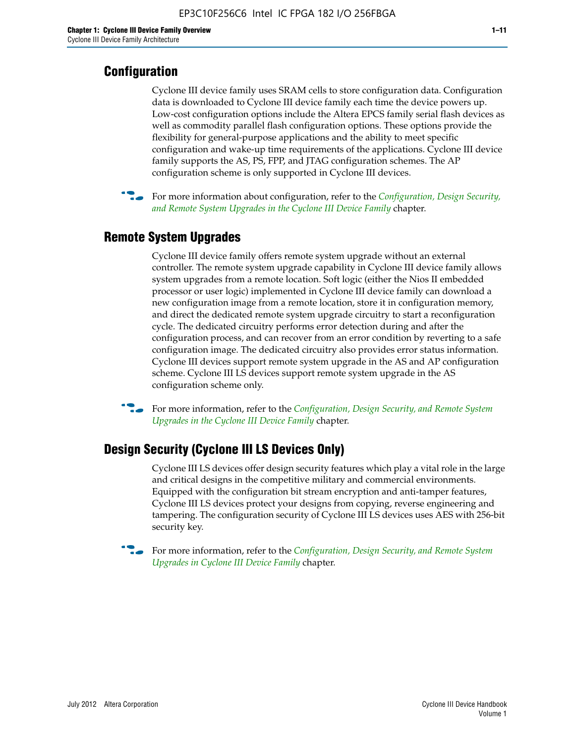#### **Configuration**

Cyclone III device family uses SRAM cells to store configuration data. Configuration data is downloaded to Cyclone III device family each time the device powers up. Low-cost configuration options include the Altera EPCS family serial flash devices as well as commodity parallel flash configuration options. These options provide the flexibility for general-purpose applications and the ability to meet specific configuration and wake-up time requirements of the applications. Cyclone III device family supports the AS, PS, FPP, and JTAG configuration schemes. The AP configuration scheme is only supported in Cyclone III devices.



f For more information about configuration, refer to the *[Configuration, Design Security,](http://www.altera.com/literature/hb/cyc3/cyc3_ciii51016.pdf)  [and Remote System Upgrades in the Cyclone III Device Family](http://www.altera.com/literature/hb/cyc3/cyc3_ciii51016.pdf)* chapter.

#### **Remote System Upgrades**

Cyclone III device family offers remote system upgrade without an external controller. The remote system upgrade capability in Cyclone III device family allows system upgrades from a remote location. Soft logic (either the Nios II embedded processor or user logic) implemented in Cyclone III device family can download a new configuration image from a remote location, store it in configuration memory, and direct the dedicated remote system upgrade circuitry to start a reconfiguration cycle. The dedicated circuitry performs error detection during and after the configuration process, and can recover from an error condition by reverting to a safe configuration image. The dedicated circuitry also provides error status information. Cyclone III devices support remote system upgrade in the AS and AP configuration scheme. Cyclone III LS devices support remote system upgrade in the AS configuration scheme only.

**For more information, refer to the** *Configuration, Design Security, and Remote System [Upgrades in the Cyclone III Device Family](http://www.altera.com/literature/hb/cyc3/cyc3_ciii51016.pdf)* chapter.

#### **Design Security (Cyclone III LS Devices Only)**

Cyclone III LS devices offer design security features which play a vital role in the large and critical designs in the competitive military and commercial environments. Equipped with the configuration bit stream encryption and anti-tamper features, Cyclone III LS devices protect your designs from copying, reverse engineering and tampering. The configuration security of Cyclone III LS devices uses AES with 256-bit security key.

f For more information, refer to the *[Configuration, Design Security, and Remote System](http://www.altera.com/literature/hb/cyc3/cyc3_ciii51016.pdf)  [Upgrades in Cyclone III Device Family](http://www.altera.com/literature/hb/cyc3/cyc3_ciii51016.pdf)* chapter.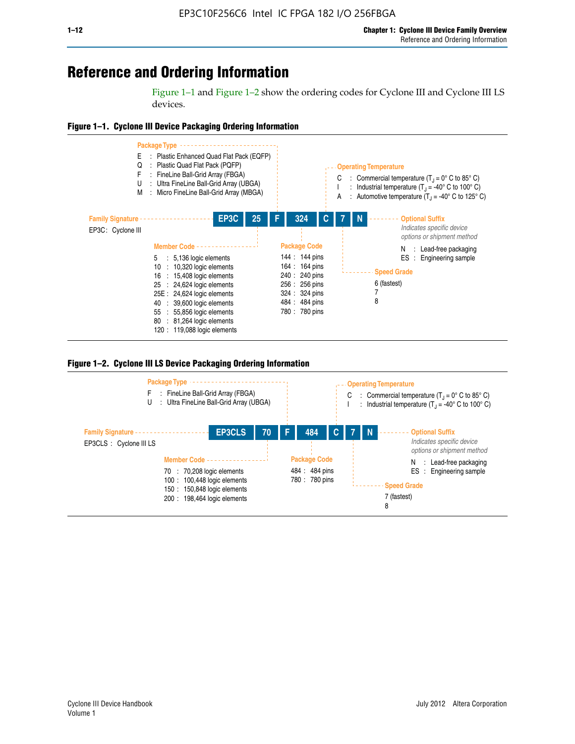## **Reference and Ordering Information**

Figure 1–1 and Figure 1–2 show the ordering codes for Cyclone III and Cyclone III LS devices.







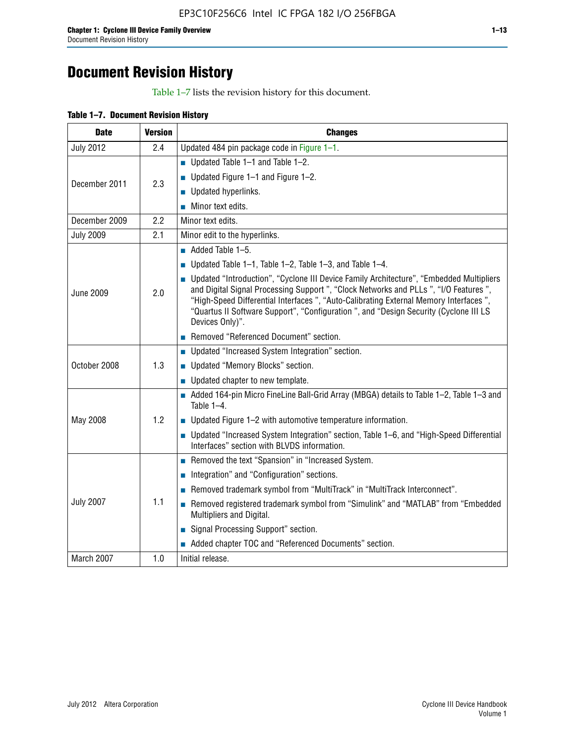## **Document Revision History**

Table 1–7 lists the revision history for this document.

| Table 1-7. Document Revision History |  |  |  |  |
|--------------------------------------|--|--|--|--|
|--------------------------------------|--|--|--|--|

| <b>Date</b>      | <b>Version</b> | <b>Changes</b>                                                                                                                                                                                                                                                                                                                                                                          |
|------------------|----------------|-----------------------------------------------------------------------------------------------------------------------------------------------------------------------------------------------------------------------------------------------------------------------------------------------------------------------------------------------------------------------------------------|
| <b>July 2012</b> | 2.4            | Updated 484 pin package code in Figure 1-1.                                                                                                                                                                                                                                                                                                                                             |
|                  |                | ■ Updated Table $1-1$ and Table $1-2$ .                                                                                                                                                                                                                                                                                                                                                 |
| December 2011    | 2.3            | ■ Updated Figure $1-1$ and Figure $1-2$ .                                                                                                                                                                                                                                                                                                                                               |
|                  |                | Updated hyperlinks.                                                                                                                                                                                                                                                                                                                                                                     |
|                  |                | Minor text edits.                                                                                                                                                                                                                                                                                                                                                                       |
| December 2009    | 2.2            | Minor text edits.                                                                                                                                                                                                                                                                                                                                                                       |
| <b>July 2009</b> | 2.1            | Minor edit to the hyperlinks.                                                                                                                                                                                                                                                                                                                                                           |
|                  |                | $\blacksquare$ Added Table 1-5.                                                                                                                                                                                                                                                                                                                                                         |
|                  |                | ■ Updated Table 1–1, Table 1–2, Table 1–3, and Table 1–4.                                                                                                                                                                                                                                                                                                                               |
| <b>June 2009</b> | 2.0            | • Updated "Introduction", "Cyclone III Device Family Architecture", "Embedded Multipliers<br>and Digital Signal Processing Support ", "Clock Networks and PLLs ", "I/O Features ",<br>"High-Speed Differential Interfaces ", "Auto-Calibrating External Memory Interfaces",<br>"Quartus II Software Support", "Configuration ", and "Design Security (Cyclone III LS<br>Devices Only)". |
|                  |                | Removed "Referenced Document" section.                                                                                                                                                                                                                                                                                                                                                  |
|                  |                | • Updated "Increased System Integration" section.                                                                                                                                                                                                                                                                                                                                       |
| October 2008     | 1.3            | Updated "Memory Blocks" section.                                                                                                                                                                                                                                                                                                                                                        |
|                  |                | • Updated chapter to new template.                                                                                                                                                                                                                                                                                                                                                      |
|                  |                | Added 164-pin Micro FineLine Ball-Grid Array (MBGA) details to Table 1-2, Table 1-3 and<br>Table $1-4$ .                                                                                                                                                                                                                                                                                |
| May 2008         | 1.2            | $\blacksquare$ Updated Figure 1-2 with automotive temperature information.                                                                                                                                                                                                                                                                                                              |
|                  |                | • Updated "Increased System Integration" section, Table 1-6, and "High-Speed Differential<br>Interfaces" section with BLVDS information.                                                                                                                                                                                                                                                |
|                  |                | Removed the text "Spansion" in "Increased System.                                                                                                                                                                                                                                                                                                                                       |
|                  |                | Integration" and "Configuration" sections.                                                                                                                                                                                                                                                                                                                                              |
|                  |                | Removed trademark symbol from "MultiTrack" in "MultiTrack Interconnect".                                                                                                                                                                                                                                                                                                                |
| <b>July 2007</b> | 1.1            | Removed registered trademark symbol from "Simulink" and "MATLAB" from "Embedded<br>Multipliers and Digital.                                                                                                                                                                                                                                                                             |
|                  |                | Signal Processing Support" section.                                                                                                                                                                                                                                                                                                                                                     |
|                  |                | Added chapter TOC and "Referenced Documents" section.                                                                                                                                                                                                                                                                                                                                   |
| March 2007       | 1.0            | Initial release.                                                                                                                                                                                                                                                                                                                                                                        |